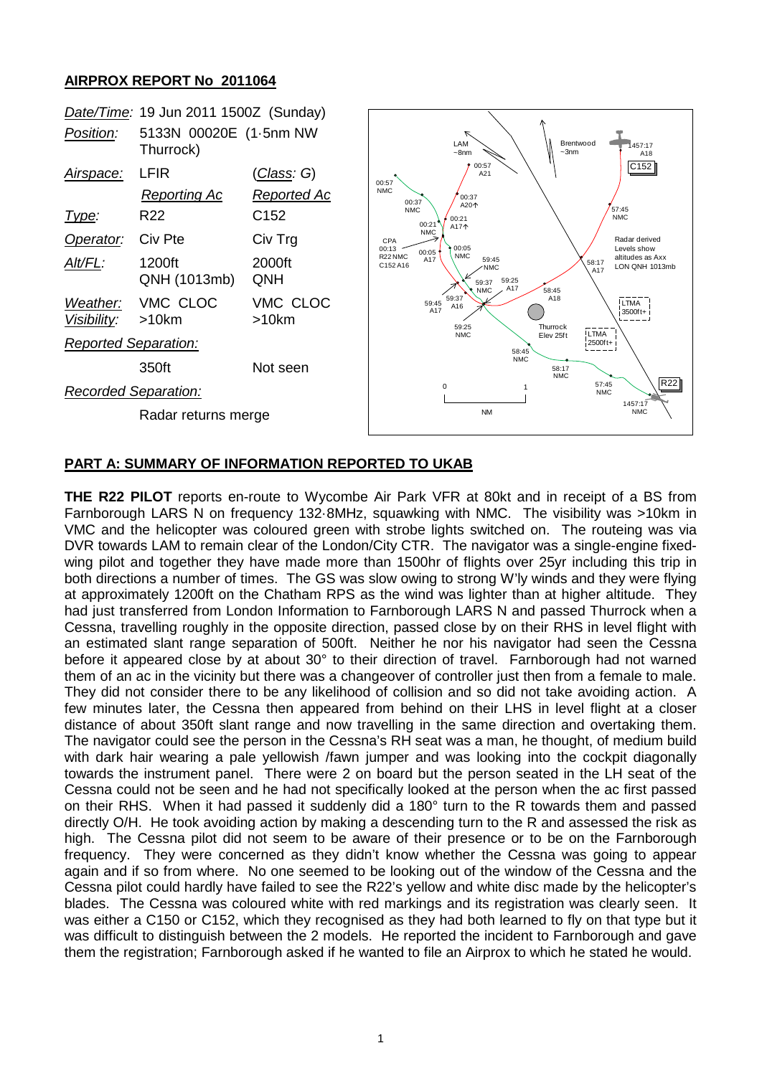## **AIRPROX REPORT No 2011064**



## **PART A: SUMMARY OF INFORMATION REPORTED TO UKAB**

**THE R22 PILOT** reports en-route to Wycombe Air Park VFR at 80kt and in receipt of a BS from Farnborough LARS N on frequency 132·8MHz, squawking with NMC. The visibility was >10km in VMC and the helicopter was coloured green with strobe lights switched on. The routeing was via DVR towards LAM to remain clear of the London/City CTR. The navigator was a single-engine fixedwing pilot and together they have made more than 1500hr of flights over 25yr including this trip in both directions a number of times. The GS was slow owing to strong W'ly winds and they were flying at approximately 1200ft on the Chatham RPS as the wind was lighter than at higher altitude. They had just transferred from London Information to Farnborough LARS N and passed Thurrock when a Cessna, travelling roughly in the opposite direction, passed close by on their RHS in level flight with an estimated slant range separation of 500ft. Neither he nor his navigator had seen the Cessna before it appeared close by at about 30° to their direction of travel. Farnborough had not warned them of an ac in the vicinity but there was a changeover of controller just then from a female to male. They did not consider there to be any likelihood of collision and so did not take avoiding action. A few minutes later, the Cessna then appeared from behind on their LHS in level flight at a closer distance of about 350ft slant range and now travelling in the same direction and overtaking them. The navigator could see the person in the Cessna's RH seat was a man, he thought, of medium build with dark hair wearing a pale yellowish /fawn jumper and was looking into the cockpit diagonally towards the instrument panel. There were 2 on board but the person seated in the LH seat of the Cessna could not be seen and he had not specifically looked at the person when the ac first passed on their RHS. When it had passed it suddenly did a 180° turn to the R towards them and passed directly O/H. He took avoiding action by making a descending turn to the R and assessed the risk as high. The Cessna pilot did not seem to be aware of their presence or to be on the Farnborough frequency. They were concerned as they didn't know whether the Cessna was going to appear again and if so from where. No one seemed to be looking out of the window of the Cessna and the Cessna pilot could hardly have failed to see the R22's yellow and white disc made by the helicopter's blades. The Cessna was coloured white with red markings and its registration was clearly seen. It was either a C150 or C152, which they recognised as they had both learned to fly on that type but it was difficult to distinguish between the 2 models. He reported the incident to Farnborough and gave them the registration; Farnborough asked if he wanted to file an Airprox to which he stated he would.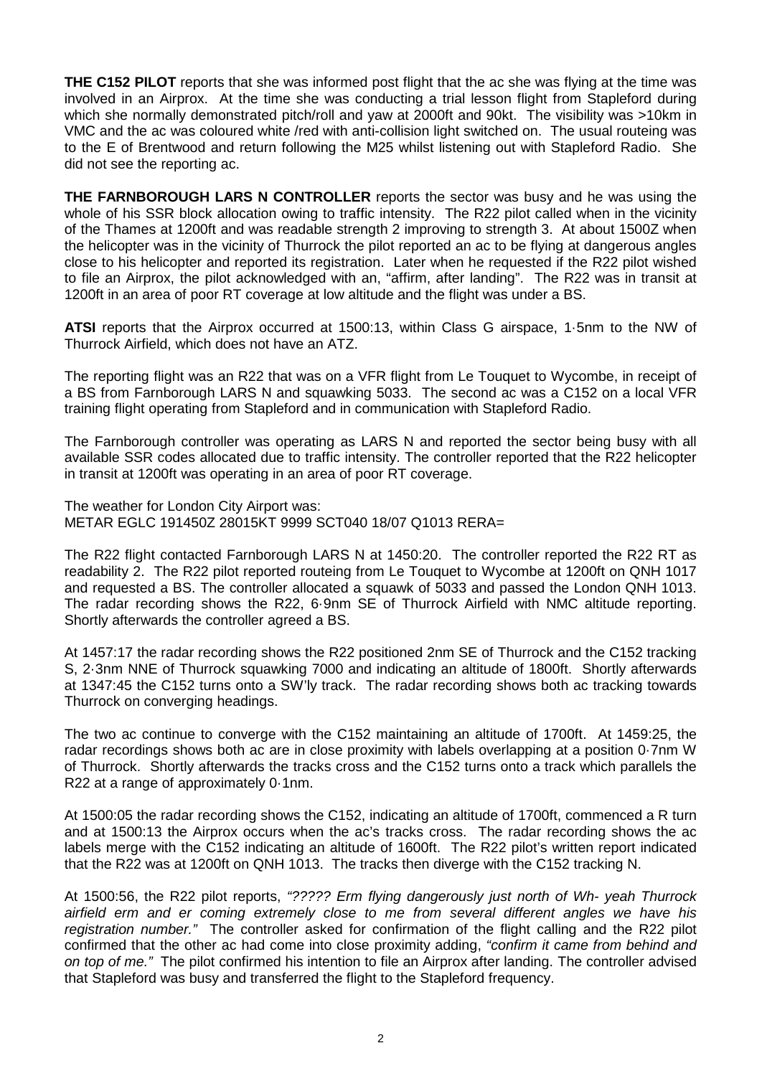**THE C152 PILOT** reports that she was informed post flight that the ac she was flying at the time was involved in an Airprox. At the time she was conducting a trial lesson flight from Stapleford during which she normally demonstrated pitch/roll and yaw at 2000ft and 90kt. The visibility was >10km in VMC and the ac was coloured white /red with anti-collision light switched on. The usual routeing was to the E of Brentwood and return following the M25 whilst listening out with Stapleford Radio. She did not see the reporting ac.

**THE FARNBOROUGH LARS N CONTROLLER** reports the sector was busy and he was using the whole of his SSR block allocation owing to traffic intensity. The R22 pilot called when in the vicinity of the Thames at 1200ft and was readable strength 2 improving to strength 3. At about 1500Z when the helicopter was in the vicinity of Thurrock the pilot reported an ac to be flying at dangerous angles close to his helicopter and reported its registration. Later when he requested if the R22 pilot wished to file an Airprox, the pilot acknowledged with an, "affirm, after landing". The R22 was in transit at 1200ft in an area of poor RT coverage at low altitude and the flight was under a BS.

**ATSI** reports that the Airprox occurred at 1500:13, within Class G airspace, 1·5nm to the NW of Thurrock Airfield, which does not have an ATZ.

The reporting flight was an R22 that was on a VFR flight from Le Touquet to Wycombe, in receipt of a BS from Farnborough LARS N and squawking 5033. The second ac was a C152 on a local VFR training flight operating from Stapleford and in communication with Stapleford Radio.

The Farnborough controller was operating as LARS N and reported the sector being busy with all available SSR codes allocated due to traffic intensity. The controller reported that the R22 helicopter in transit at 1200ft was operating in an area of poor RT coverage.

The weather for London City Airport was: METAR EGLC 191450Z 28015KT 9999 SCT040 18/07 Q1013 RERA=

The R22 flight contacted Farnborough LARS N at 1450:20. The controller reported the R22 RT as readability 2. The R22 pilot reported routeing from Le Touquet to Wycombe at 1200ft on QNH 1017 and requested a BS. The controller allocated a squawk of 5033 and passed the London QNH 1013. The radar recording shows the R22, 6·9nm SE of Thurrock Airfield with NMC altitude reporting. Shortly afterwards the controller agreed a BS.

At 1457:17 the radar recording shows the R22 positioned 2nm SE of Thurrock and the C152 tracking S, 2·3nm NNE of Thurrock squawking 7000 and indicating an altitude of 1800ft. Shortly afterwards at 1347:45 the C152 turns onto a SW'ly track. The radar recording shows both ac tracking towards Thurrock on converging headings.

The two ac continue to converge with the C152 maintaining an altitude of 1700ft. At 1459:25, the radar recordings shows both ac are in close proximity with labels overlapping at a position 0·7nm W of Thurrock. Shortly afterwards the tracks cross and the C152 turns onto a track which parallels the R22 at a range of approximately 0·1nm.

At 1500:05 the radar recording shows the C152, indicating an altitude of 1700ft, commenced a R turn and at 1500:13 the Airprox occurs when the ac's tracks cross. The radar recording shows the ac labels merge with the C152 indicating an altitude of 1600ft. The R22 pilot's written report indicated that the R22 was at 1200ft on QNH 1013. The tracks then diverge with the C152 tracking N.

At 1500:56, the R22 pilot reports, *"????? Erm flying dangerously just north of Wh- yeah Thurrock airfield erm and er coming extremely close to me from several different angles we have his registration number."* The controller asked for confirmation of the flight calling and the R22 pilot confirmed that the other ac had come into close proximity adding, *"confirm it came from behind and on top of me."* The pilot confirmed his intention to file an Airprox after landing. The controller advised that Stapleford was busy and transferred the flight to the Stapleford frequency.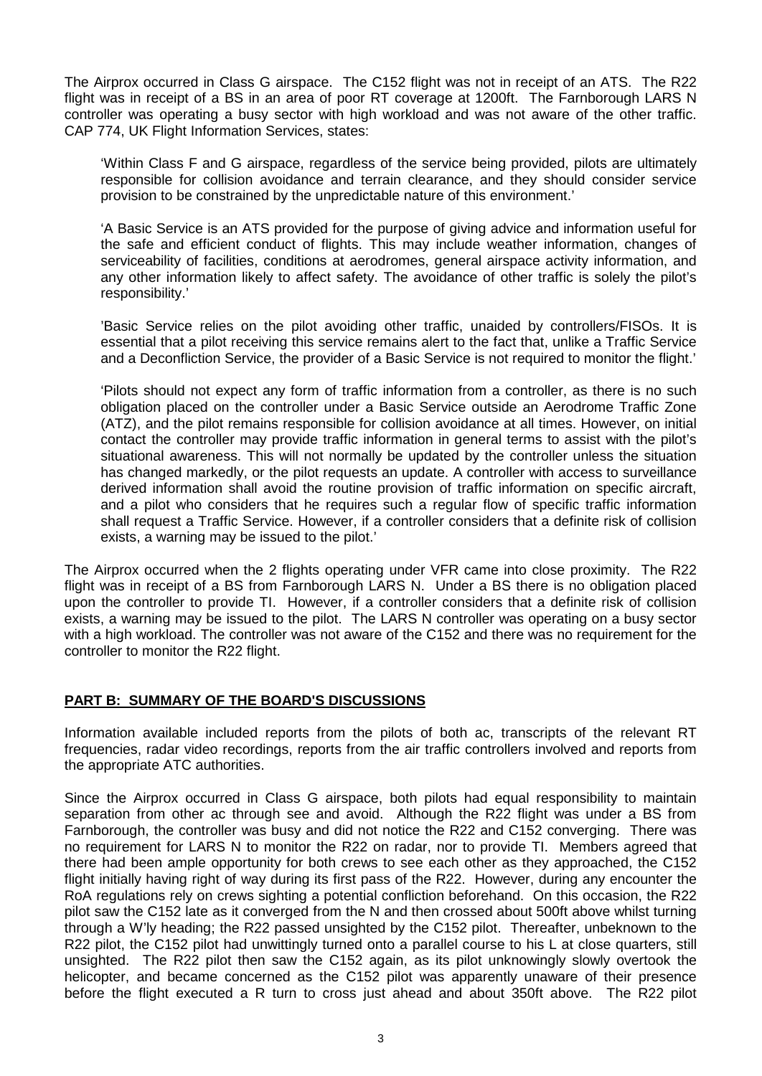The Airprox occurred in Class G airspace. The C152 flight was not in receipt of an ATS. The R22 flight was in receipt of a BS in an area of poor RT coverage at 1200ft. The Farnborough LARS N controller was operating a busy sector with high workload and was not aware of the other traffic. CAP 774, UK Flight Information Services, states:

'Within Class F and G airspace, regardless of the service being provided, pilots are ultimately responsible for collision avoidance and terrain clearance, and they should consider service provision to be constrained by the unpredictable nature of this environment.'

'A Basic Service is an ATS provided for the purpose of giving advice and information useful for the safe and efficient conduct of flights. This may include weather information, changes of serviceability of facilities, conditions at aerodromes, general airspace activity information, and any other information likely to affect safety. The avoidance of other traffic is solely the pilot's responsibility.'

'Basic Service relies on the pilot avoiding other traffic, unaided by controllers/FISOs. It is essential that a pilot receiving this service remains alert to the fact that, unlike a Traffic Service and a Deconfliction Service, the provider of a Basic Service is not required to monitor the flight.'

'Pilots should not expect any form of traffic information from a controller, as there is no such obligation placed on the controller under a Basic Service outside an Aerodrome Traffic Zone (ATZ), and the pilot remains responsible for collision avoidance at all times. However, on initial contact the controller may provide traffic information in general terms to assist with the pilot's situational awareness. This will not normally be updated by the controller unless the situation has changed markedly, or the pilot requests an update. A controller with access to surveillance derived information shall avoid the routine provision of traffic information on specific aircraft, and a pilot who considers that he requires such a regular flow of specific traffic information shall request a Traffic Service. However, if a controller considers that a definite risk of collision exists, a warning may be issued to the pilot.'

The Airprox occurred when the 2 flights operating under VFR came into close proximity. The R22 flight was in receipt of a BS from Farnborough LARS N. Under a BS there is no obligation placed upon the controller to provide TI. However, if a controller considers that a definite risk of collision exists, a warning may be issued to the pilot. The LARS N controller was operating on a busy sector with a high workload. The controller was not aware of the C152 and there was no requirement for the controller to monitor the R22 flight.

## **PART B: SUMMARY OF THE BOARD'S DISCUSSIONS**

Information available included reports from the pilots of both ac, transcripts of the relevant RT frequencies, radar video recordings, reports from the air traffic controllers involved and reports from the appropriate ATC authorities.

Since the Airprox occurred in Class G airspace, both pilots had equal responsibility to maintain separation from other ac through see and avoid. Although the R22 flight was under a BS from Farnborough, the controller was busy and did not notice the R22 and C152 converging. There was no requirement for LARS N to monitor the R22 on radar, nor to provide TI. Members agreed that there had been ample opportunity for both crews to see each other as they approached, the C152 flight initially having right of way during its first pass of the R22. However, during any encounter the RoA regulations rely on crews sighting a potential confliction beforehand. On this occasion, the R22 pilot saw the C152 late as it converged from the N and then crossed about 500ft above whilst turning through a W'ly heading; the R22 passed unsighted by the C152 pilot. Thereafter, unbeknown to the R22 pilot, the C152 pilot had unwittingly turned onto a parallel course to his L at close quarters, still unsighted. The R22 pilot then saw the C152 again, as its pilot unknowingly slowly overtook the helicopter, and became concerned as the C152 pilot was apparently unaware of their presence before the flight executed a R turn to cross just ahead and about 350ft above. The R22 pilot